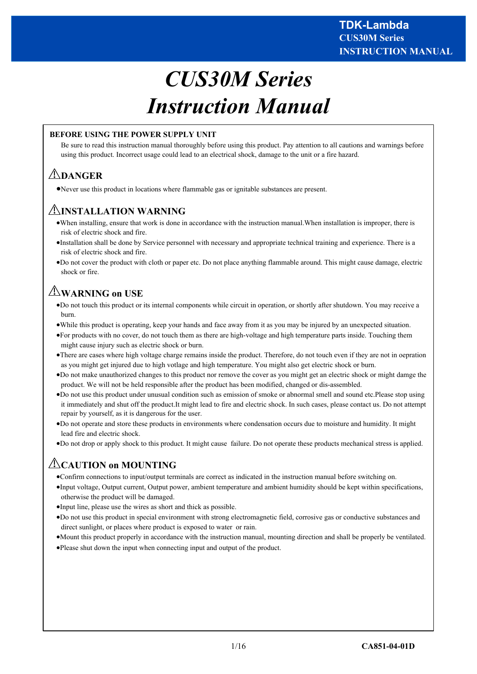# *CUS30M Series Instruction Manual*

# **BEFORE USING THE POWER SUPPLY UNIT**

Be sure to read this instruction manual thoroughly before using this product. Pay attention to all cautions and warnings before using this product. Incorrect usage could lead to an electrical shock, damage to the unit or a fire hazard.

# **DANGER**

Never use this product in locations where flammable gas or ignitable substances are present.

# **INSTALLATION WARNING**

- When installing, ensure that work is done in accordance with the instruction manual.When installation is improper, there is risk of electric shock and fire.
- Installation shall be done by Service personnel with necessary and appropriate technical training and experience. There is a risk of electric shock and fire.
- Do not cover the product with cloth or paper etc. Do not place anything flammable around. This might cause damage, electric shock or fire.

# **WARNING on USE**

- Do not touch this product or its internal components while circuit in operation, or shortly after shutdown. You may receive a burn.
- While this product is operating, keep your hands and face away from it as you may be injured by an unexpected situation.
- For products with no cover, do not touch them as there are high-voltage and high temperature parts inside. Touching them might cause injury such as electric shock or burn.
- There are cases where high voltage charge remains inside the product. Therefore, do not touch even if they are not in oepration as you might get injured due to high votlage and high temperature. You might also get electric shock or burn.
- Do not make unauthorized changes to this product nor remove the cover as you might get an electric shock or might damge the product. We will not be held responsible after the product has been modified, changed or dis-assembled.
- Do not use this product under unusual condition such as emission of smoke or abnormal smell and sound etc.Please stop using it immediately and shut off the product.It might lead to fire and electric shock. In such cases, please contact us. Do not attempt repair by yourself, as it is dangerous for the user.
- Do not operate and store these products in environments where condensation occurs due to moisture and humidity. It might lead fire and electric shock.
- Do not drop or apply shock to this product. It might cause failure. Do not operate these products mechanical stress is applied.

# **CAUTION on MOUNTING**

- Confirm connections to input/output terminals are correct as indicated in the instruction manual before switching on.
- Input voltage, Output current, Output power, ambient temperature and ambient humidity should be kept within specifications, otherwise the product will be damaged.
- Input line, please use the wires as short and thick as possible.
- Do not use this product in special environment with strong electromagnetic field, corrosive gas or conductive substances and direct sunlight, or places where product is exposed to water or rain.
- Mount this product properly in accordance with the instruction manual, mounting direction and shall be properly be ventilated.
- Please shut down the input when connecting input and output of the product.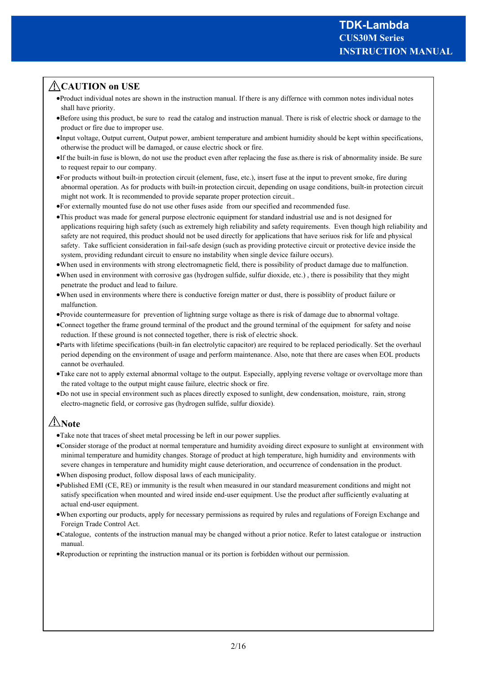# **CAUTION on USE**

- Product individual notes are shown in the instruction manual. If there is any differnce with common notes individual notes shall have priority.
- Before using this product, be sure to read the catalog and instruction manual. There is risk of electric shock or damage to the product or fire due to improper use.
- Input voltage, Output current, Output power, ambient temperature and ambient humidity should be kept within specifications, otherwise the product will be damaged, or cause electric shock or fire.
- If the built-in fuse is blown, do not use the product even after replacing the fuse as.there is risk of abnormality inside. Be sure to request repair to our company.
- For products without built-in protection circuit (element, fuse, etc.), insert fuse at the input to prevent smoke, fire during abnormal operation. As for products with built-in protection circuit, depending on usage conditions, built-in protection circuit might not work. It is recommended to provide separate proper protection circuit..
- For externally mounted fuse do not use other fuses aside from our specified and recommended fuse.
- This product was made for general purpose electronic equipment for standard industrial use and is not designed for applications requiring high safety (such as extremely high reliability and safety requirements. Even though high reliability and safety are not required, this product should not be used directly for applications that have seriuos risk for life and physical safety. Take sufficient consideration in fail-safe design (such as providing protective circuit or protective device inside the system, providing redundant circuit to ensure no instability when single device failure occurs).
- When used in environments with strong electromagnetic field, there is possibility of product damage due to malfunction.
- When used in environment with corrosive gas (hydrogen sulfide, sulfur dioxide, etc.) , there is possibility that they might penetrate the product and lead to failure.
- When used in environments where there is conductive foreign matter or dust, there is possiblity of product failure or malfunction.
- Provide countermeasure for prevention of lightning surge voltage as there is risk of damage due to abnormal voltage.
- Connect together the frame ground terminal of the product and the ground terminal of the equipment for safety and noise reduction. If these ground is not connected together, there is risk of electric shock.
- Parts with lifetime specifications (built-in fan electrolytic capacitor) are required to be replaced periodically. Set the overhaul period depending on the environment of usage and perform maintenance. Also, note that there are cases when EOL products cannot be overhauled.
- Take care not to apply external abnormal voltage to the output. Especially, applying reverse voltage or overvoltage more than the rated voltage to the output might cause failure, electric shock or fire.
- Do not use in special environment such as places directly exposed to sunlight, dew condensation, moisture, rain, strong electro-magnetic field, or corrosive gas (hydrogen sulfide, sulfur dioxide).

# **Note**

- Take note that traces of sheet metal processing be left in our power supplies.
- Consider storage of the product at normal temperature and humidity avoiding direct exposure to sunlight at environment with minimal temperature and humidity changes. Storage of product at high temperature, high humidity and environments with severe changes in temperature and humidity might cause deterioration, and occurrence of condensation in the product.
- When disposing product, follow disposal laws of each municipality.
- Published EMI (CE, RE) or immunity is the result when measured in our standard measurement conditions and might not satisfy specification when mounted and wired inside end-user equipment. Use the product after sufficiently evaluating at actual end-user equipment.
- When exporting our products, apply for necessary permissions as required by rules and regulations of Foreign Exchange and Foreign Trade Control Act.
- Catalogue, contents of the instruction manual may be changed without a prior notice. Refer to latest catalogue or instruction manual.
- Reproduction or reprinting the instruction manual or its portion is forbidden without our permission.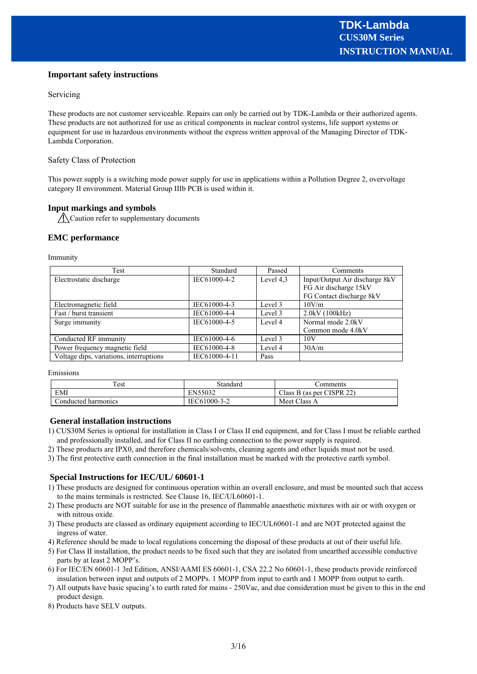# **Important safety instructions**

#### Servicing

These products are not customer serviceable. Repairs can only be carried out by TDK-Lambda or their authorized agents. These products are not authorized for use as critical components in nuclear control systems, life support systems or equipment for use in hazardous environments without the express written approval of the Managing Director of TDK-Lambda Corporation.

# Safety Class of Protection

This power supply is a switching mode power supply for use in applications within a Pollution Degree 2, overvoltage category II environment. Material Group IIIb PCB is used within it.

# **Input markings and symbols**

Caution refer to supplementary documents

# **EMC performance**

Immunity

| Test                                    | Standard      | Passed    | Comments                       |  |
|-----------------------------------------|---------------|-----------|--------------------------------|--|
| Electrostatic discharge                 | IEC61000-4-2  | Level 4,3 | Input/Output Air discharge 8kV |  |
|                                         |               |           | FG Air discharge 15kV          |  |
|                                         |               |           | FG Contact discharge 8kV       |  |
| Electromagnetic field                   | IEC61000-4-3  | Level 3   | 10V/m                          |  |
| Fast / burst transient                  | IEC61000-4-4  | Level 3   | 2.0kV(100kHz)                  |  |
| Surge immunity                          | IEC61000-4-5  | Level 4   | Normal mode 2.0kV              |  |
|                                         |               |           | Common mode 4.0kV              |  |
| Conducted RF immunity                   | IEC61000-4-6  | Level 3   | 10V                            |  |
| Power frequency magnetic field          | IEC61000-4-8  | Level 4   | 30A/m                          |  |
| Voltage dips, variations, interruptions | IEC61000-4-11 | Pass      |                                |  |

Emissions

| Test                | Standard     | comments                         |
|---------------------|--------------|----------------------------------|
| EMI                 | EN55032      | $6$ (as per CISPR 22)<br>Class B |
| Conducted harmonics | IEC61000-3-2 | Meet Class A                     |

#### **General installation instructions**

- 1) CUS30M Series is optional for installation in Class I or Class II end equipment, and for Class I must be reliable earthed and professionally installed, and for Class II no earthing connection to the power supply is required.
- 2) These products are IPX0, and therefore chemicals/solvents, cleaning agents and other liquids must not be used.
- 3) The first protective earth connection in the final installation must be marked with the protective earth symbol.

# **Special Instructions for IEC/UL/ 60601-1**

- 1) These products are designed for continuous operation within an overall enclosure, and must be mounted such that access to the mains terminals is restricted. See Clause 16, IEC/UL60601-1.
- 2) These products are NOT suitable for use in the presence of flammable anaesthetic mixtures with air or with oxygen or with nitrous oxide.
- 3) These products are classed as ordinary equipment according to IEC/UL60601-1 and are NOT protected against the ingress of water.
- 4) Reference should be made to local regulations concerning the disposal of these products at out of their useful life.
- 5) For Class II installation, the product needs to be fixed such that they are isolated from unearthed accessible conductive parts by at least 2 MOPP's.
- 6) For IEC/EN 60601-1 3rd Edition, ANSI/AAMI ES 60601-1, CSA 22.2 No 60601-1, these products provide reinforced insulation between input and outputs of 2 MOPPs. 1 MOPP from input to earth and 1 MOPP from output to earth.
- 7) All outputs have basic spacing's to earth rated for mains 250Vac, and due consideration must be given to this in the end product design.
- 8) Products have SELV outputs.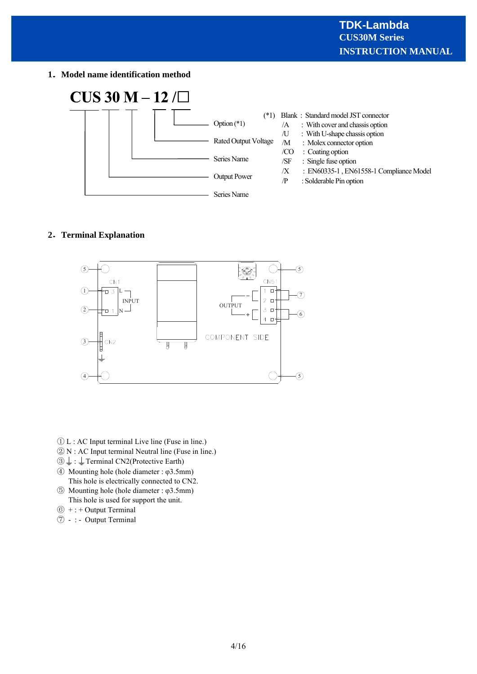**1 Model name identification method**



# **2 Terminal Explanation**



- ① L : AC Input terminal Live line (Fuse in line.)
- ② N : AC Input terminal Neutral line (Fuse in line.)
- $\textcircled{3} \downarrow$ :  $\downarrow$  Terminal CN2(Protective Earth)
- ④ Mounting hole (hole diameter : φ3.5mm) This hole is electrically connected to CN2.
- ⑤ Mounting hole (hole diameter : φ3.5mm) This hole is used for support the unit.
- $<sup>6</sup>$  + : + Output Terminal</sup>
- ⑦ : Output Terminal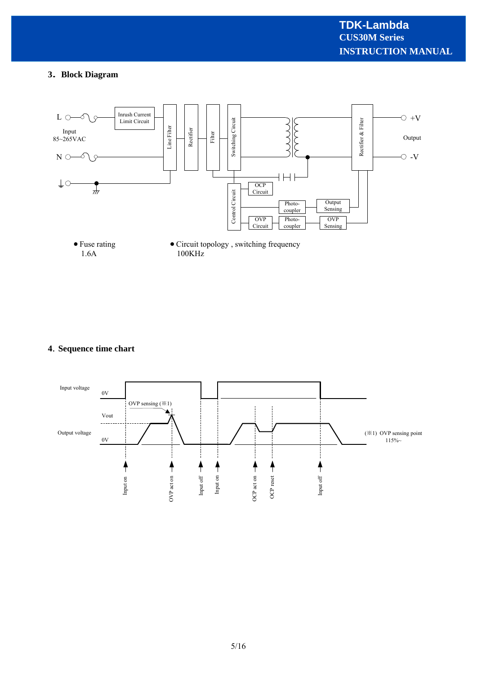# **3 Block Diagram**



# **4 Sequence time chart**

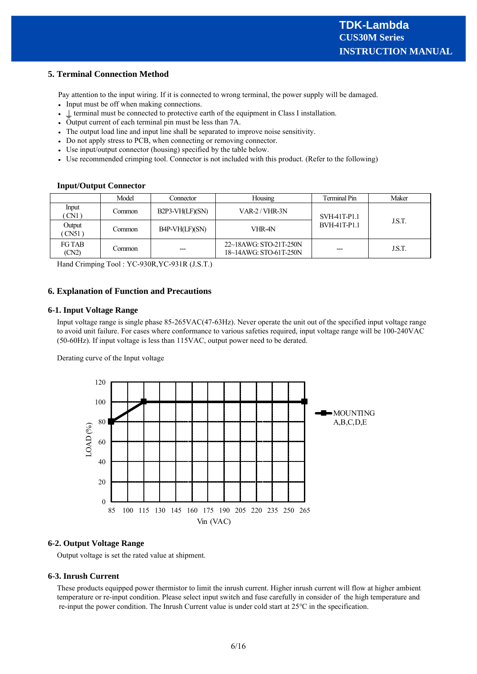# **5. Terminal Connection Method**

Pay attention to the input wiring. If it is connected to wrong terminal, the power supply will be damaged.

- Input must be off when making connections.
- $\bullet \perp$  terminal must be connected to protective earth of the equipment in Class I installation.
- Output current of each terminal pin must be less than 7A.
- The output load line and input line shall be separated to improve noise sensitivity.
- Do not apply stress to PCB, when connecting or removing connector.
- Use input/output connector (housing) specified by the table below.
- Use recommended crimping tool. Connector is not included with this product. (Refer to the following)

# **Input/Output Connector**

|                        | Model   | Connector         | Housing                                          | Terminal Pin | Maker  |
|------------------------|---------|-------------------|--------------------------------------------------|--------------|--------|
| Input<br>CN1)          | Common  | $B2P3-VH(LF)(SN)$ | $VAR-2 / VHR-3N$                                 | SVH-41T-P1.1 | J.S.T. |
| Output<br>CN51         | Common  | B4P-VH(LF)(SN)    | VHR-4N                                           | BVH-41T-P1.1 |        |
| <b>FG TAB</b><br>(CN2) | Common: | ---               | 22~18AWG: STO-21T-250N<br>18~14AWG: STO-61T-250N |              | J.S.T. |

Hand Crimping Tool : YC-930R,YC-931R (J.S.T.)

# **6. Explanation of Function and Precautions**

#### **6-1. Input Voltage Range**

Input voltage range is single phase 85-265VAC(47-63Hz). Never operate the unit out of the specified input voltage range to avoid unit failure. For cases where conformance to various safeties required, input voltage range will be 100-240VAC (50-60Hz). If input voltage is less than 115VAC, output power need to be derated.

Derating curve of the Input voltage



# **6-2. Output Voltage Range**

Output voltage is set the rated value at shipment.

#### **6-3. Inrush Current**

These products equipped power thermistor to limit the inrush current. Higher inrush current will flow at higher ambient temperature or re-input condition. Please select input switch and fuse carefully in consider of the high temperature and re-input the power condition. The Inrush Current value is under cold start at 25℃ in the specification.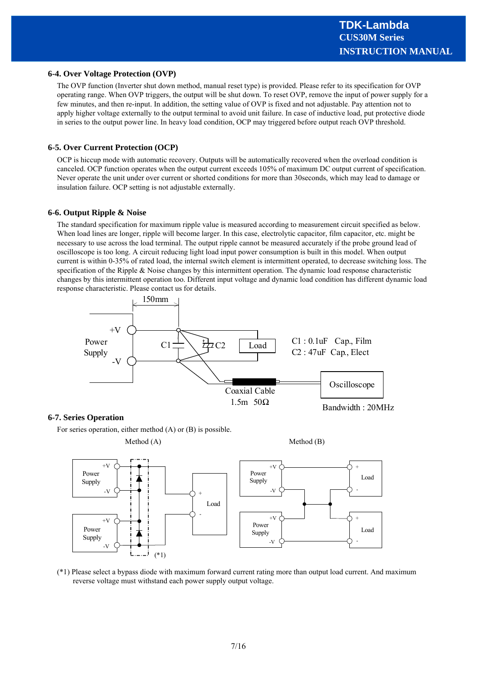# **6-4. Over Voltage Protection (OVP)**

The OVP function (Inverter shut down method, manual reset type) is provided. Please refer to its specification for OVP operating range. When OVP triggers, the output will be shut down. To reset OVP, remove the input of power supply for a few minutes, and then re-input. In addition, the setting value of OVP is fixed and not adjustable. Pay attention not to apply higher voltage externally to the output terminal to avoid unit failure. In case of inductive load, put protective diode in series to the output power line. In heavy load condition, OCP may triggered before output reach OVP threshold.

#### **6-5. Over Current Protection (OCP)**

OCP is hiccup mode with automatic recovery. Outputs will be automatically recovered when the overload condition is canceled. OCP function operates when the output current exceeds 105% of maximum DC output current of specification. Never operate the unit under over current or shorted conditions for more than 30seconds, which may lead to damage or insulation failure. OCP setting is not adjustable externally.

#### **6-6. Output Ripple & Noise**

The standard specification for maximum ripple value is measured according to measurement circuit specified as below. When load lines are longer, ripple will become larger. In this case, electrolytic capacitor, film capacitor, etc. might be necessary to use across the load terminal. The output ripple cannot be measured accurately if the probe ground lead of oscilloscope is too long. A circuit reducing light load input power consumption is built in this model. When output current is within 0-35% of rated load, the internal switch element is intermittent operated, to decrease switching loss. The specification of the Ripple & Noise changes by this intermittent operation. The dynamic load response characteristic changes by this intermittent operation too. Different input voltage and dynamic load condition has different dynamic load response characteristic. Please contact us for details.



# **6-7. Series Operation**

For series operation, either method (A) or (B) is possible.



(\*1) Please select a bypass diode with maximum forward current rating more than output load current. And maximum reverse voltage must withstand each power supply output voltage.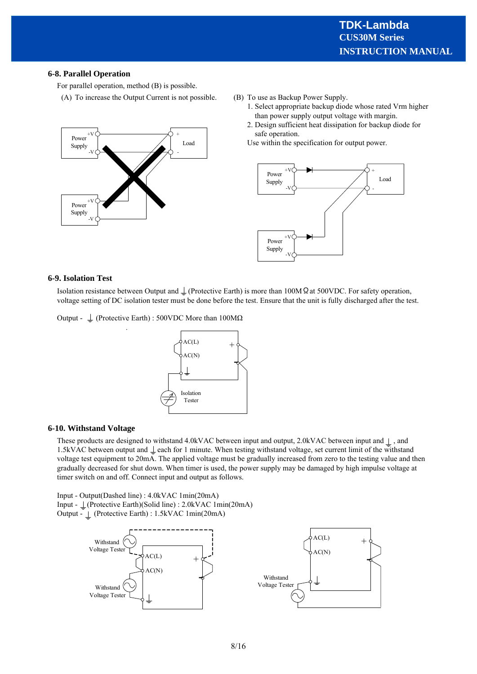# **6-8. Parallel Operation**

For parallel operation, method (B) is possible.

(A) To increase the Output Current is not possible.



- (B) To use as Backup Power Supply.
	- 1. Select appropriate backup diode whose rated Vrm higher than power supply output voltage with margin.
	- 2. Design sufficient heat dissipation for backup diode for safe operation.

Use within the specification for output power.



#### **6-9. Isolation Test**

Isolation resistance between Output and  $\perp$  (Protective Earth) is more than 100M  $\Omega$  at 500VDC. For safety operation, voltage setting of DC isolation tester must be done before the test. Ensure that the unit is fully discharged after the test.

Output -  $\perp$  (Protective Earth) : 500VDC More than 100M $\Omega$ 

.



#### **6-10. Withstand Voltage**

These products are designed to withstand 4.0kVAC between input and output, 2.0kVAC between input and  $\perp$ , and 1.5kVAC between output and  $\perp$  each for 1 minute. When testing withstand voltage, set current limit of the withstand voltage test equipment to 20mA. The applied voltage must be gradually increased from zero to the testing value and then gradually decreased for shut down. When timer is used, the power supply may be damaged by high impulse voltage at timer switch on and off. Connect input and output as follows.

Input - Output(Dashed line) : 4.0kVAC 1min(20mA) Input - (Protective Earth)(Solid line) : 2.0kVAC 1min(20mA) Output - (Protective Earth) : 1.5kVAC 1min(20mA)

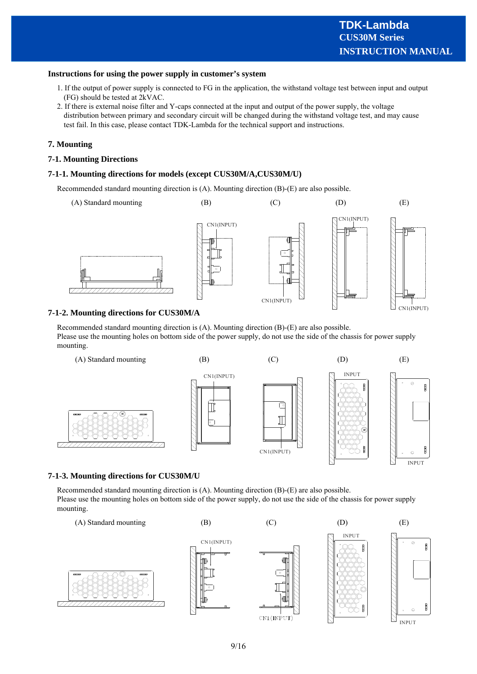# **Instructions for using the power supply in customer's system**

- 1. If the output of power supply is connected to FG in the application, the withstand voltage test between input and output (FG) should be tested at 2kVAC.
- 2. If there is external noise filter and Y-caps connected at the input and output of the power supply, the voltage distribution between primary and secondary circuit will be changed during the withstand voltage test, and may cause test fail. In this case, please contact TDK-Lambda for the technical support and instructions.

# **7. Mounting**

# **7-1. Mounting Directions**

# **7-1-1. Mounting directions for models (except CUS30M/A,CUS30M/U)**

Recommended standard mounting direction is (A). Mounting direction (B)-(E) are also possible.



# **7-1-2. Mounting directions for CUS30M/A**

Recommended standard mounting direction is (A). Mounting direction (B)-(E) are also possible. Please use the mounting holes on bottom side of the power supply, do not use the side of the chassis for power supply mounting.



# **7-1-3. Mounting directions for CUS30M/U**

Recommended standard mounting direction is (A). Mounting direction (B)-(E) are also possible. Please use the mounting holes on bottom side of the power supply, do not use the side of the chassis for power supply mounting.

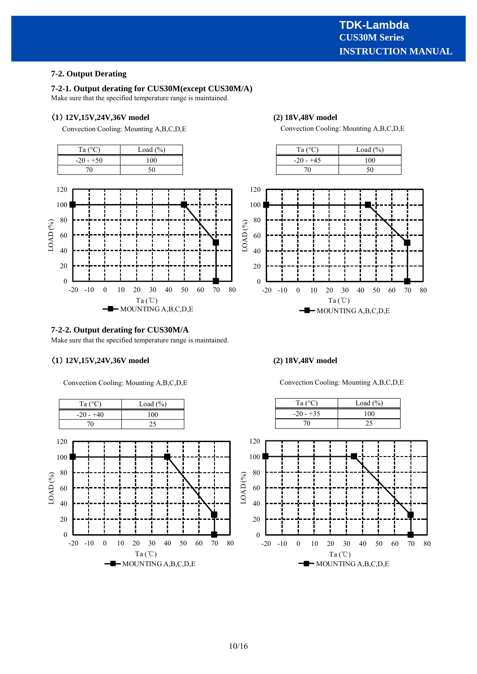# **5-2. Output Derating 7-2. Output Derating**

# **5-2-1. Output derating for CUS60M(except CUS60M/A) 7-2-1. Output derating for CUS30M(except CUS30M/A)**

Make sure that the specified temperature range is maintained. Make sure that the specified temperature range is maintained.

# 1) 12V,15V,24V,36V model (2) 18V,48V model

Convection Cooling: Mounting A,B,C,D,E





# **7-2-2. Output derating for CUS30M/A**

Make sure that the specified temperature range is maintained.

# **1 12V,15V,24V,36V model (2) 18V,48V model**

Convection Cooling: Mounting A,B,C,D,E



Convection Cooling: Mounting A,B,C,D,E





Convection Cooling: Mounting A,B,C,D,E

Ta  $(^{\circ}C)$  Load  $(^{\circ}C)$ 

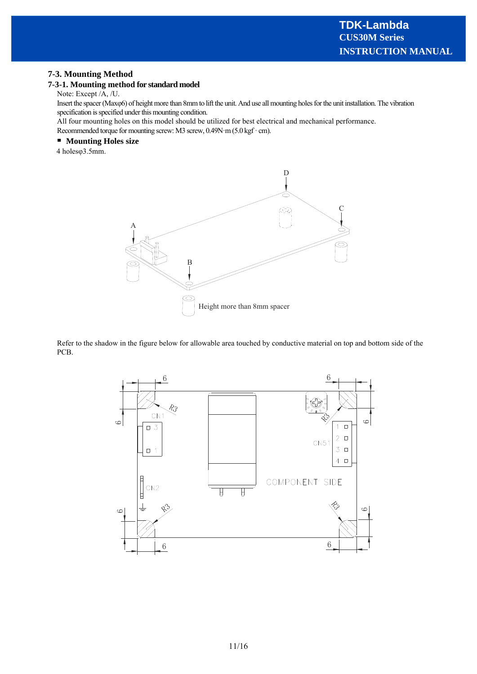# **5-3. Mounting Method 7-3. Mounting Method**

# **5-3-1. Mounting method for standard model 7-3-1. Mounting method for standard model**

Note: Except /A, /U. Note: Except /A, /U.

Insert the spacer (Maxo6) of height more than 8mm to lift the unit. And use all mounting holes for the unit installation. The vibration specification is specified under this mounting condition. specification is specified under this mounting condition.

All four mounting holes on this model should be utilized for best electrical and mechanical performance. All four mounting holes on this model should be utilized for best electrical and mechanical performance.

Recommended torque for mounting screw: M3 screw, 0.49N·m (5.0 kgf · cm). Recommended torque for mounting screw: M3 screw, 0.49N·m (5.0 kgf · cm).

# **Mounting Holes size Mounting Holes size**

4 holesφ3.5mm. 4 holesφ3.5mm.



Refer to the shadow in the figure below for allowable area touched by conductive material on top and bottom side of the PCB.

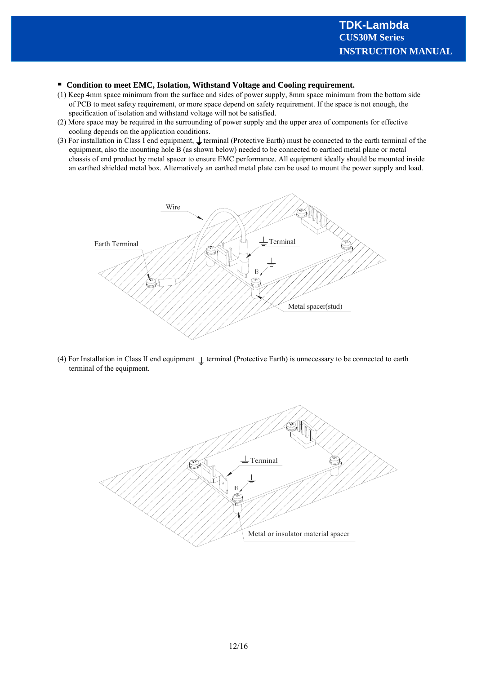# **Condition to meet EMC, Isolation, Withstand Voltage and Cooling requirement.**

- (1) Keep 4mm space minimum from the surface and sides of power supply, 8mm space minimum from the bottom side of PCB to meet safety requirement, or more space depend on safety requirement. If the space is not enough, the specification of isolation and withstand voltage will not be satisfied.
- (2) More space may be required in the surrounding of power supply and the upper area of components for effective cooling depends on the application conditions.
- (3) For installation in Class I end equipment,  $\perp$  terminal (Protective Earth) must be connected to the earth terminal of the equipment, also the mounting hole B (as shown below) needed to be connected to earthed metal plane or metal chassis of end product by metal spacer to ensure EMC performance. All equipment ideally should be mounted inside an earthed shielded metal box. Alternatively an earthed metal plate can be used to mount the power supply and load.



(4) For Installation in Class II end equipment  $\perp$  terminal (Protective Earth) is unnecessary to be connected to earth terminal of the equipment.

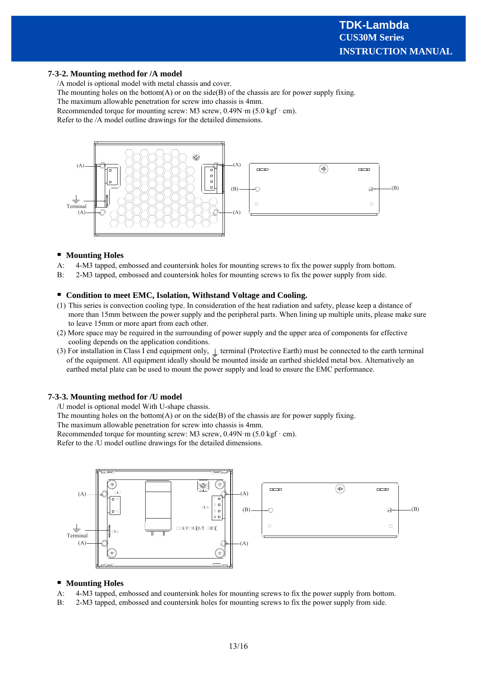# **7-3-2. Mounting method for /A model**

/A model is optional model with metal chassis and cover.

The mounting holes on the bottom(A) or on the side(B) of the chassis are for power supply fixing.

The maximum allowable penetration for screw into chassis is 4mm.

Recommended torque for mounting screw: M3 screw,  $0.49N \cdot m$  (5.0 kgf $\cdot$  cm).

Refer to the /A model outline drawings for the detailed dimensions.



#### **Mounting Holes**

- A: 4-M3 tapped, embossed and countersink holes for mounting screws to fix the power supply from bottom.
- B: 2-M3 tapped, embossed and countersink holes for mounting screws to fix the power supply from side.

# **Condition to meet EMC, Isolation, Withstand Voltage and Cooling.**

- (1) This series is convection cooling type. In consideration of the heat radiation and safety, please keep a distance of more than 15mm between the power supply and the peripheral parts. When lining up multiple units, please make sure to leave 15mm or more apart from each other.
- (2) More space may be required in the surrounding of power supply and the upper area of components for effective cooling depends on the application conditions.
- (3) For installation in Class I end equipment only,  $\perp$  terminal (Protective Earth) must be connected to the earth terminal of the equipment. All equipment ideally should be mounted inside an earthed shielded metal box. Alternatively an earthed metal plate can be used to mount the power supply and load to ensure the EMC performance.

#### **7-3-3. Mounting method for /U model**

/U model is optional model With U-shape chassis.

The mounting holes on the bottom(A) or on the side(B) of the chassis are for power supply fixing.

The maximum allowable penetration for screw into chassis is 4mm.

Recommended torque for mounting screw: M3 screw,  $0.49N \cdot m$  (5.0 kgf $\cdot$  cm).

Refer to the /U model outline drawings for the detailed dimensions.



# **Mounting Holes**

- A: 4-M3 tapped, embossed and countersink holes for mounting screws to fix the power supply from bottom.
- B: 2-M3 tapped, embossed and countersink holes for mounting screws to fix the power supply from side.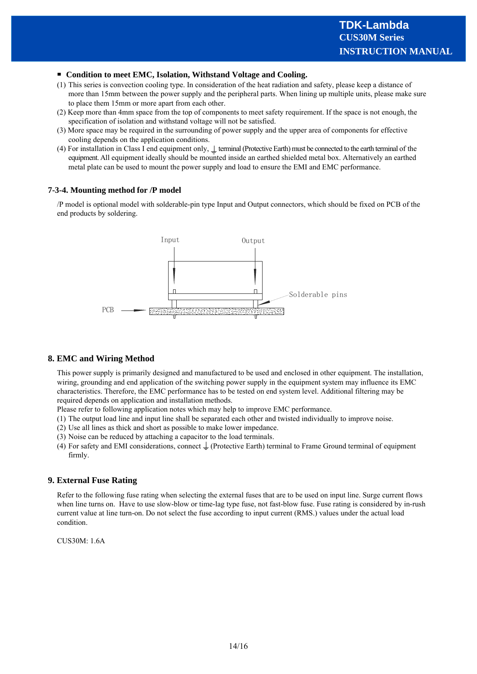# **Condition to meet EMC, Isolation, Withstand Voltage and Cooling.**

- (1) This series is convection cooling type. In consideration of the heat radiation and safety, please keep a distance of more than 15mm between the power supply and the peripheral parts. When lining up multiple units, please make sure to place them 15mm or more apart from each other.
- (2) Keep more than 4mm space from the top of components to meet safety requirement. If the space is not enough, the specification of isolation and withstand voltage will not be satisfied.
- (3) More space may be required in the surrounding of power supply and the upper area of components for effective cooling depends on the application conditions.
- (4) For installation in Class I end equipment only,  $\perp$  terminal (Protective Earth) must be connected to the earth terminal of the equipment. All equipment ideally should be mounted inside an earthed shielded metal box. Alternatively an earthed metal plate can be used to mount the power supply and load to ensure the EMI and EMC performance.

#### **7-3-4. Mounting method for /P model**

/P model is optional model with solderable-pin type Input and Output connectors, which should be fixed on PCB of the end products by soldering.



# **8. EMC and Wiring Method**

This power supply is primarily designed and manufactured to be used and enclosed in other equipment. The installation, wiring, grounding and end application of the switching power supply in the equipment system may influence its EMC characteristics. Therefore, the EMC performance has to be tested on end system level. Additional filtering may be required depends on application and installation methods.

Please refer to following application notes which may help to improve EMC performance.

- (1) The output load line and input line shall be separated each other and twisted individually to improve noise.
- (2) Use all lines as thick and short as possible to make lower impedance.

(3) Noise can be reduced by attaching a capacitor to the load terminals.

(4) For safety and EMI considerations, connect  $\perp$  (Protective Earth) terminal to Frame Ground terminal of equipment firmly.

#### **9. External Fuse Rating**

Refer to the following fuse rating when selecting the external fuses that are to be used on input line. Surge current flows when line turns on. Have to use slow-blow or time-lag type fuse, not fast-blow fuse. Fuse rating is considered by in-rush current value at line turn-on. Do not select the fuse according to input current (RMS.) values under the actual load condition.

CUS30M: 1.6A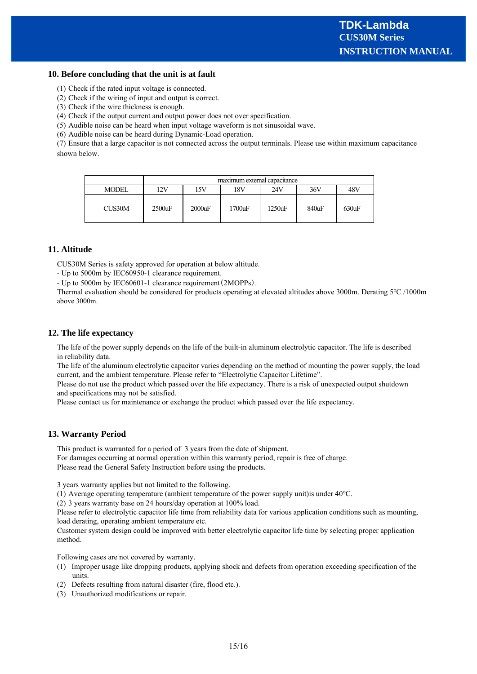# **10. Before concluding that the unit is at fault**

(1) Check if the rated input voltage is connected.

(2) Check if the wiring of input and output is correct.

(3) Check if the wire thickness is enough.

(4) Check if the output current and output power does not over specification.

(5) Audible noise can be heard when input voltage waveform is not sinusoidal wave.

(6) Audible noise can be heard during Dynamic-Load operation.

(7) Ensure that a large capacitor is not connected across the output terminals. Please use within maximum capacitance shown below.

|              | maximum external capacitance |        |        |           |       |       |
|--------------|------------------------------|--------|--------|-----------|-------|-------|
| <b>MODEL</b> | 12V                          | 15V    | 18V    | 24V       | 36V   | 48V   |
| CUS30M       | $2500$ uF                    | 2000uF | 1700uF | $1250$ uF | 840uF | 630uF |

# **11. Altitude**

CUS30M Series is safety approved for operation at below altitude.

- Up to 5000m by IEC60950-1 clearance requirement.

- Up to 5000m by IEC60601-1 clearance requirement(2MOPPs).

Thermal evaluation should be considered for products operating at elevated altitudes above 3000m. Derating 5℃ /1000m above 3000m.

# **12. The life expectancy**

The life of the power supply depends on the life of the built-in aluminum electrolytic capacitor. The life is described in reliability data.

The life of the aluminum electrolytic capacitor varies depending on the method of mounting the power supply, the load current, and the ambient temperature. Please refer to "Electrolytic Capacitor Lifetime".

Please do not use the product which passed over the life expectancy. There is a risk of unexpected output shutdown and specifications may not be satisfied.

Please contact us for maintenance or exchange the product which passed over the life expectancy.

# **13. Warranty Period**

This product is warranted for a period of 3 years from the date of shipment. For damages occurring at normal operation within this warranty period, repair is free of charge. Please read the General Safety Instruction before using the products.

3 years warranty applies but not limited to the following.

(1) Average operating temperature (ambient temperature of the power supply unit)is under 40℃.

(2) 3 years warranty base on 24 hours/day operation at 100% load.

Please refer to electrolytic capacitor life time from reliability data for various application conditions such as mounting, load derating, operating ambient temperature etc.

Customer system design could be improved with better electrolytic capacitor life time by selecting proper application method.

Following cases are not covered by warranty.

- (1) Improper usage like dropping products, applying shock and defects from operation exceeding specification of the units.
- (2) Defects resulting from natural disaster (fire, flood etc.).
- (3) Unauthorized modifications or repair.